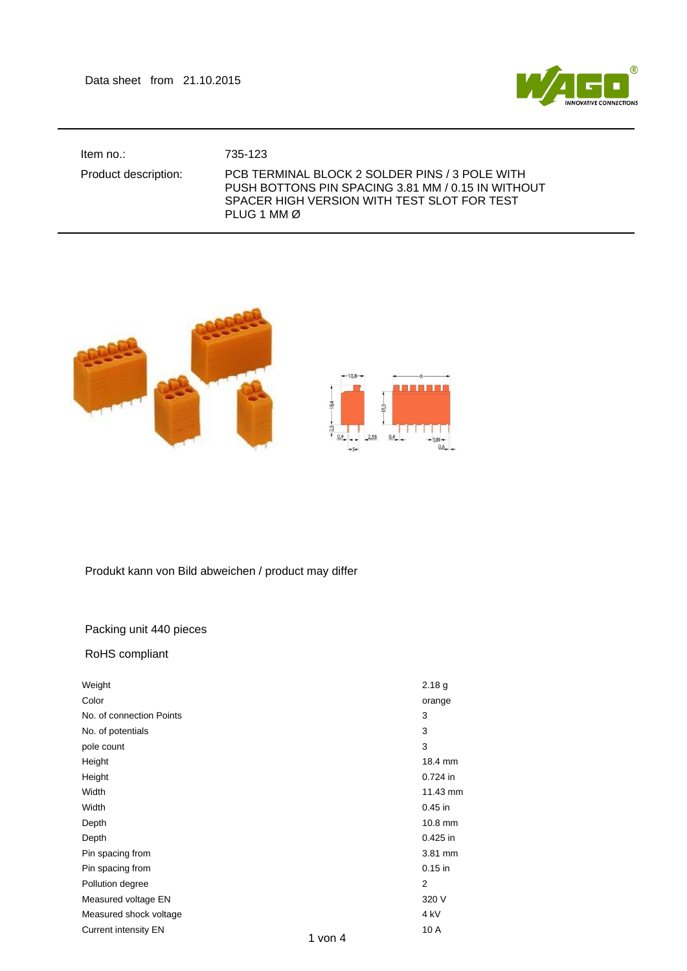Data sheet from 21.10.2015



Item no.: 735-123

## Product description: PCB TERMINAL BLOCK 2 SOLDER PINS / 3 POLE WITH PUSH BOTTONS PIN SPACING 3.81 MM / 0.15 IN WITHOUT SPACER HIGH VERSION WITH TEST SLOT FOR TEST PLUG 1 MM Ø



## Produkt kann von Bild abweichen / product may differ

## Packing unit 440 pieces

## RoHS compliant

| Weight                      |         | 2.18 <sub>g</sub> |
|-----------------------------|---------|-------------------|
| Color                       |         | orange            |
| No. of connection Points    |         | 3                 |
| No. of potentials           |         | 3                 |
| pole count                  |         | 3                 |
| Height                      |         | 18.4 mm           |
| Height                      |         | 0.724 in          |
| Width                       |         | 11.43 mm          |
| Width                       |         | $0.45$ in         |
| Depth                       |         | 10.8 mm           |
| Depth                       |         | $0.425$ in        |
| Pin spacing from            |         | 3.81 mm           |
| Pin spacing from            |         | $0.15$ in         |
| Pollution degree            |         | $\overline{2}$    |
| Measured voltage EN         |         | 320 V             |
| Measured shock voltage      |         | 4 <sub>kV</sub>   |
| <b>Current intensity EN</b> | 1 von 4 | 10 A              |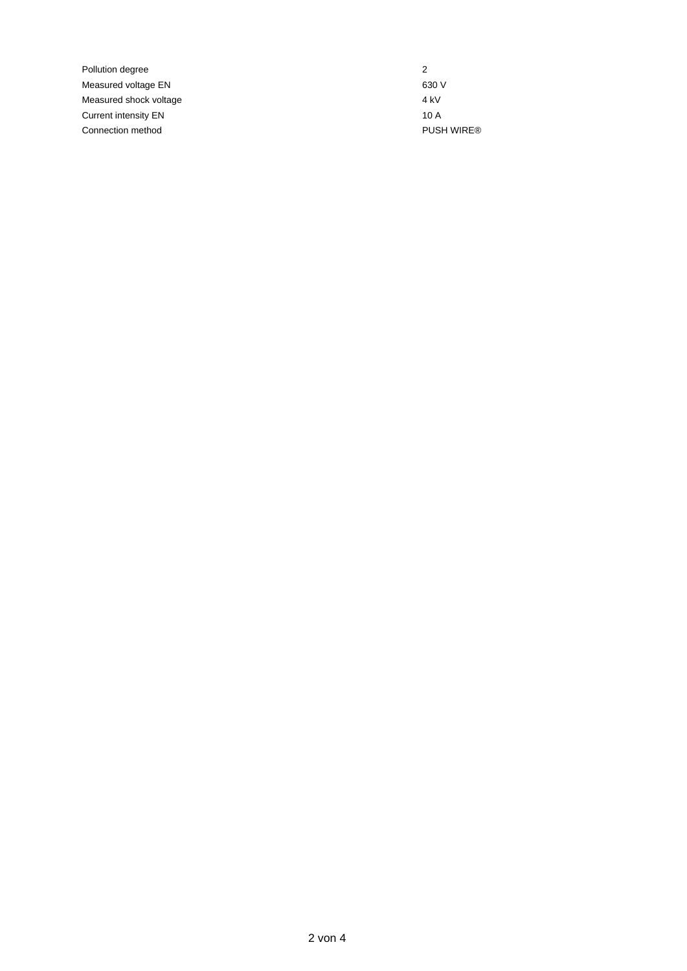Pollution degree 2 Measured voltage EN 630 V Measured shock voltage 4 kV Current intensity EN 10 A Connection method **PUSH WIRE®**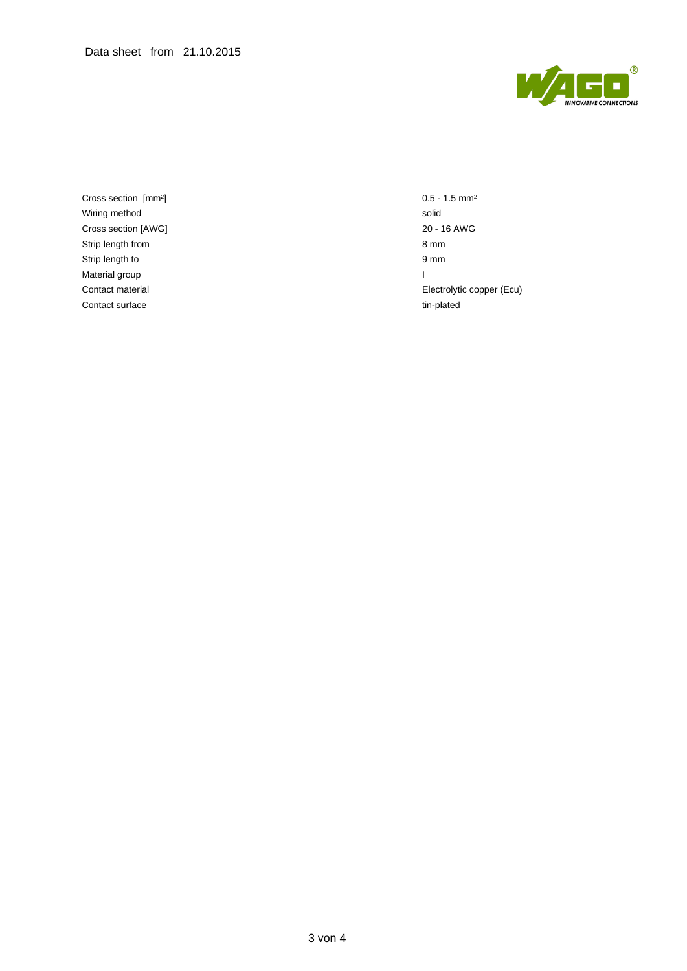

Cross section [mm²] 0.5 - 1.5 mm² Wiring method solid Cross section [AWG] 20 - 16 AWG Strip length from 8 mm Strip length to 9 mm Material group and the contract of the contract of the contract of the contract of the contract of the contract of the contract of the contract of the contract of the contract of the contract of the contract of the contrac Contact surface tim-plated

Contact material Electrolytic copper (Ecu)